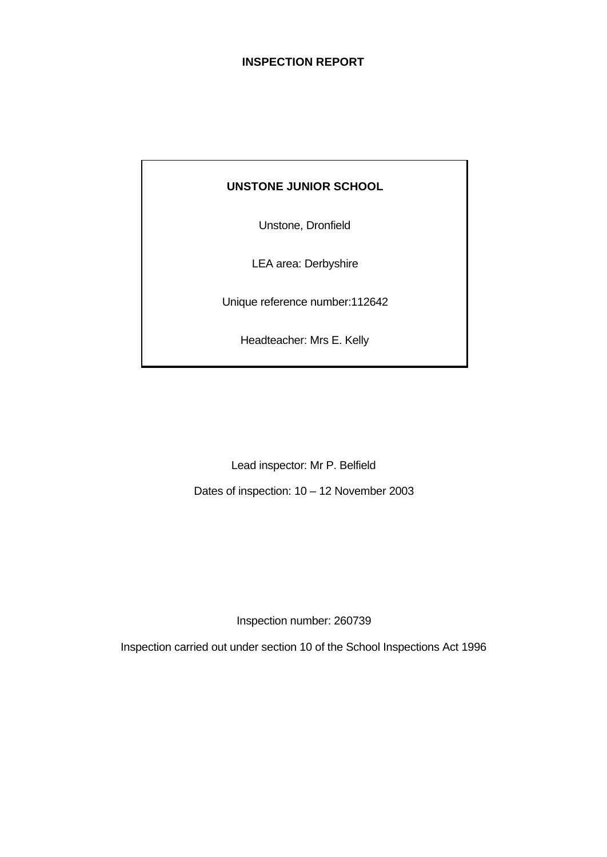### **INSPECTION REPORT**

### **UNSTONE JUNIOR SCHOOL**

Unstone, Dronfield

LEA area: Derbyshire

Unique reference number:112642

Headteacher: Mrs E. Kelly

Lead inspector: Mr P. Belfield

Dates of inspection: 10 – 12 November 2003

Inspection number: 260739

Inspection carried out under section 10 of the School Inspections Act 1996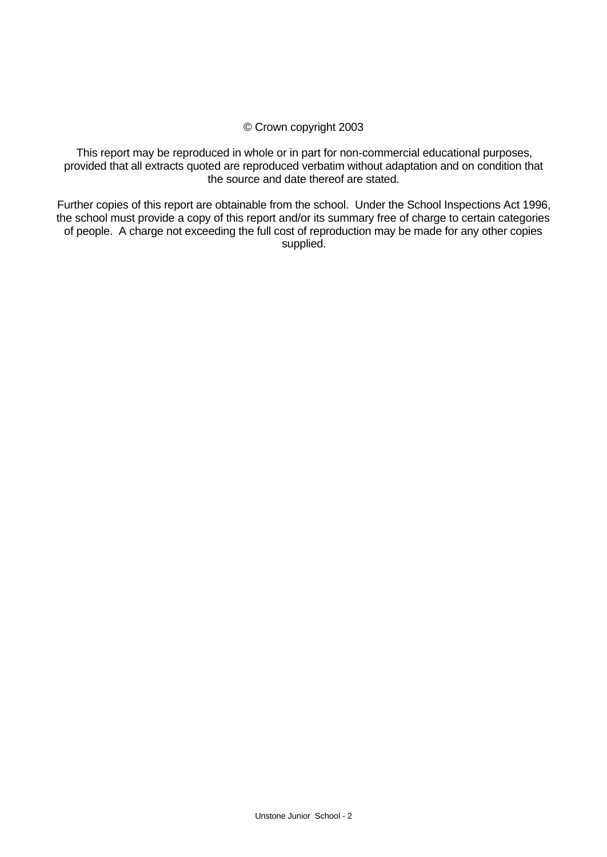### © Crown copyright 2003

This report may be reproduced in whole or in part for non-commercial educational purposes, provided that all extracts quoted are reproduced verbatim without adaptation and on condition that the source and date thereof are stated.

Further copies of this report are obtainable from the school. Under the School Inspections Act 1996, the school must provide a copy of this report and/or its summary free of charge to certain categories of people. A charge not exceeding the full cost of reproduction may be made for any other copies supplied.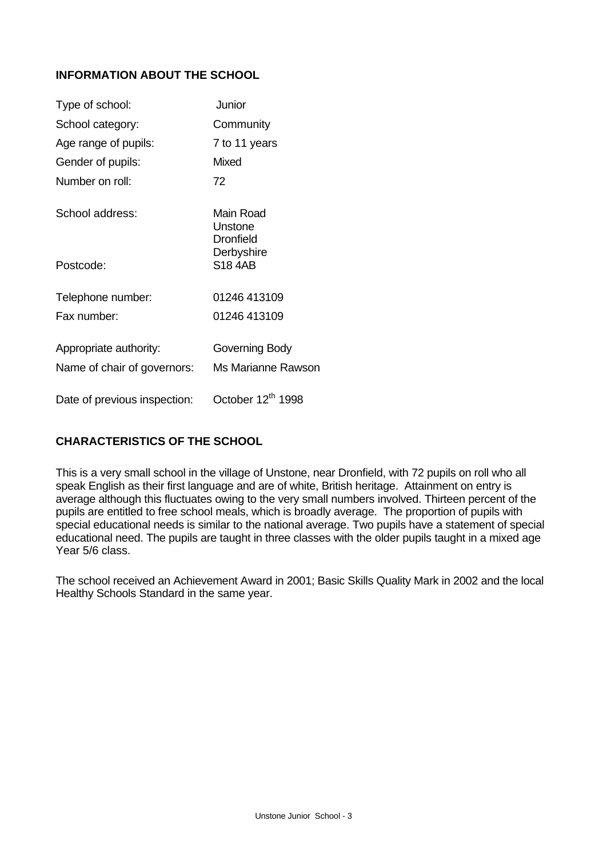# **INFORMATION ABOUT THE SCHOOL**

| Type of school:              | Junior                                   |
|------------------------------|------------------------------------------|
| School category:             | Community                                |
| Age range of pupils:         | 7 to 11 years                            |
| Gender of pupils:            | Mixed                                    |
| Number on roll:              | 72                                       |
| School address:              | Main Road<br>Unstone<br><b>Dronfield</b> |
| Postcode:                    | Derbyshire<br><b>S18 4AB</b>             |
| Telephone number:            | 01246 413109                             |
| Fax number:                  | 01246 413109                             |
| Appropriate authority:       | Governing Body                           |
| Name of chair of governors:  | Ms Marianne Rawson                       |
| Date of previous inspection: | October 12 <sup>th</sup> 1998            |

# **CHARACTERISTICS OF THE SCHOOL**

This is a very small school in the village of Unstone, near Dronfield, with 72 pupils on roll who all speak English as their first language and are of white, British heritage. Attainment on entry is average although this fluctuates owing to the very small numbers involved. Thirteen percent of the pupils are entitled to free school meals, which is broadly average. The proportion of pupils with special educational needs is similar to the national average. Two pupils have a statement of special educational need. The pupils are taught in three classes with the older pupils taught in a mixed age Year 5/6 class.

The school received an Achievement Award in 2001; Basic Skills Quality Mark in 2002 and the local Healthy Schools Standard in the same year.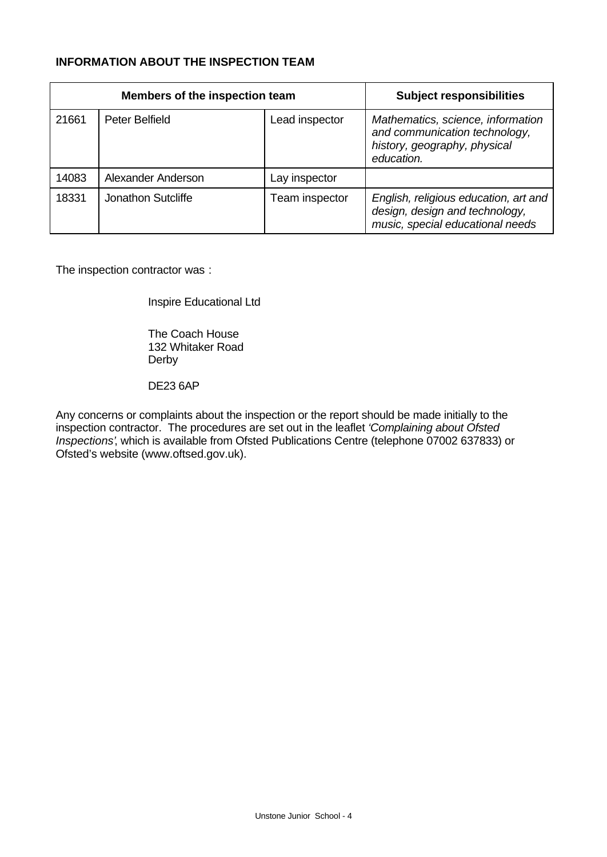# **INFORMATION ABOUT THE INSPECTION TEAM**

| Members of the inspection team |                       |                | <b>Subject responsibilities</b>                                                                                  |
|--------------------------------|-----------------------|----------------|------------------------------------------------------------------------------------------------------------------|
| 21661                          | <b>Peter Belfield</b> | Lead inspector | Mathematics, science, information<br>and communication technology,<br>history, geography, physical<br>education. |
| 14083                          | Alexander Anderson    | Lay inspector  |                                                                                                                  |
| 18331                          | Jonathon Sutcliffe    | Team inspector | English, religious education, art and<br>design, design and technology,<br>music, special educational needs      |

The inspection contractor was :

Inspire Educational Ltd

The Coach House 132 Whitaker Road Derby

DE23 6AP

Any concerns or complaints about the inspection or the report should be made initially to the inspection contractor. The procedures are set out in the leaflet *'Complaining about Ofsted Inspections'*, which is available from Ofsted Publications Centre (telephone 07002 637833) or Ofsted's website (www.oftsed.gov.uk).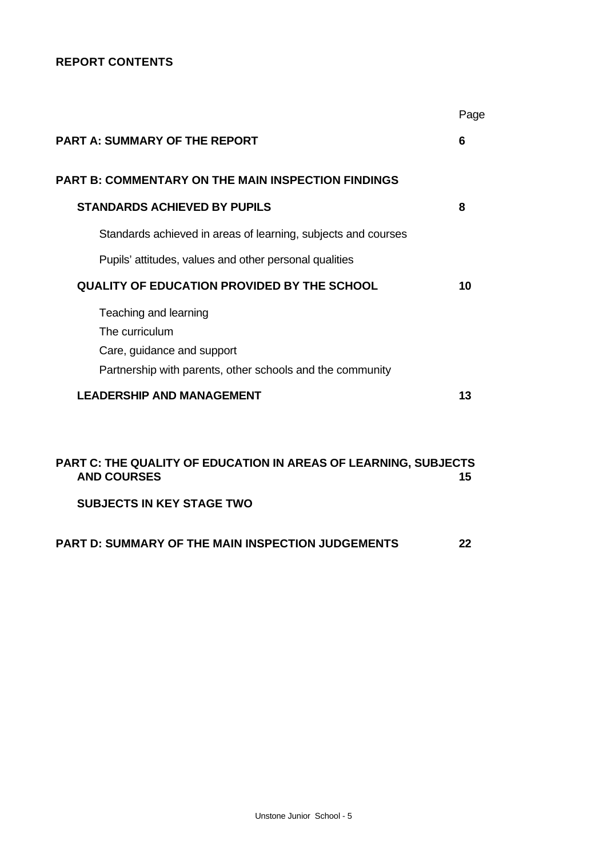# **REPORT CONTENTS**

|                                                                                                                                    | Page |
|------------------------------------------------------------------------------------------------------------------------------------|------|
| <b>PART A: SUMMARY OF THE REPORT</b>                                                                                               | 6    |
| <b>PART B: COMMENTARY ON THE MAIN INSPECTION FINDINGS</b>                                                                          |      |
| <b>STANDARDS ACHIEVED BY PUPILS</b>                                                                                                | 8    |
| Standards achieved in areas of learning, subjects and courses                                                                      |      |
| Pupils' attitudes, values and other personal qualities                                                                             |      |
| <b>QUALITY OF EDUCATION PROVIDED BY THE SCHOOL</b>                                                                                 | 10   |
| Teaching and learning<br>The curriculum<br>Care, guidance and support<br>Partnership with parents, other schools and the community |      |
| <b>LEADERSHIP AND MANAGEMENT</b>                                                                                                   | 13   |
| <b>PART C: THE QUALITY OF EDUCATION IN AREAS OF LEARNING, SUBJECTS</b><br><b>AND COURSES</b><br><b>SUBJECTS IN KEY STAGE TWO</b>   | 15   |
| PART D: SUMMARY OF THE MAIN INSPECTION JUDGEMENTS                                                                                  | 22   |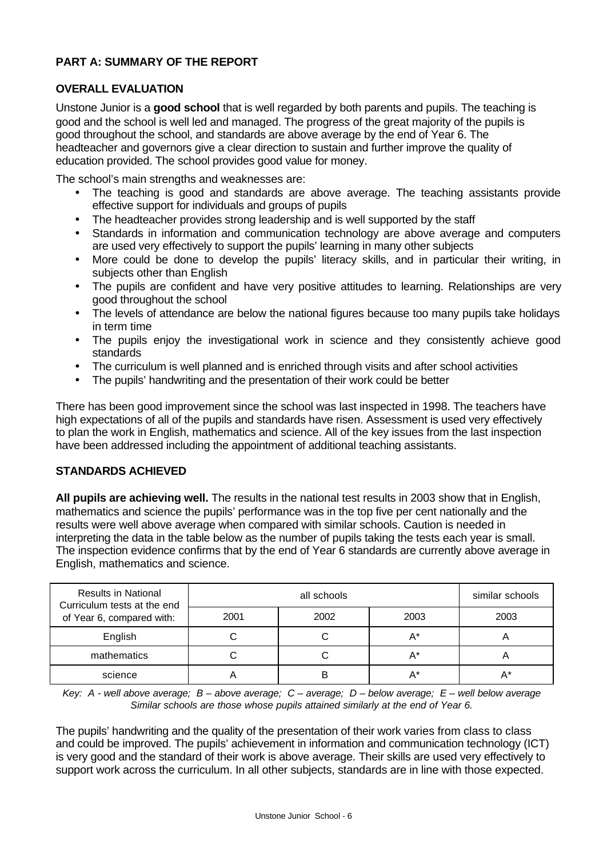## **PART A: SUMMARY OF THE REPORT**

### **OVERALL EVALUATION**

Unstone Junior is a **good school** that is well regarded by both parents and pupils. The teaching is good and the school is well led and managed. The progress of the great majority of the pupils is good throughout the school, and standards are above average by the end of Year 6. The headteacher and governors give a clear direction to sustain and further improve the quality of education provided. The school provides good value for money.

The school's main strengths and weaknesses are:

- The teaching is good and standards are above average. The teaching assistants provide effective support for individuals and groups of pupils
- The headteacher provides strong leadership and is well supported by the staff
- Standards in information and communication technology are above average and computers are used very effectively to support the pupils' learning in many other subjects
- More could be done to develop the pupils' literacy skills, and in particular their writing, in subjects other than English
- The pupils are confident and have very positive attitudes to learning. Relationships are very good throughout the school
- The levels of attendance are below the national figures because too many pupils take holidays in term time
- The pupils enjoy the investigational work in science and they consistently achieve good standards
- The curriculum is well planned and is enriched through visits and after school activities
- The pupils' handwriting and the presentation of their work could be better

There has been good improvement since the school was last inspected in 1998. The teachers have high expectations of all of the pupils and standards have risen. Assessment is used very effectively to plan the work in English, mathematics and science. All of the key issues from the last inspection have been addressed including the appointment of additional teaching assistants.

### **STANDARDS ACHIEVED**

**All pupils are achieving well.** The results in the national test results in 2003 show that in English, mathematics and science the pupils' performance was in the top five per cent nationally and the results were well above average when compared with similar schools. Caution is needed in interpreting the data in the table below as the number of pupils taking the tests each year is small. The inspection evidence confirms that by the end of Year 6 standards are currently above average in English, mathematics and science.

| <b>Results in National</b><br>Curriculum tests at the end<br>of Year 6, compared with: |      | similar schools |      |      |
|----------------------------------------------------------------------------------------|------|-----------------|------|------|
|                                                                                        | 2001 | 2002            | 2003 | 2003 |
| English                                                                                |      |                 | A*   |      |
| mathematics                                                                            |      |                 | A*   |      |
| science                                                                                |      | В               | A*   |      |

*Key: A - well above average; B – above average; C – average; D – below average; E – well below average Similar schools are those whose pupils attained similarly at the end of Year 6.*

The pupils' handwriting and the quality of the presentation of their work varies from class to class and could be improved. The pupils' achievement in information and communication technology (ICT) is very good and the standard of their work is above average. Their skills are used very effectively to support work across the curriculum. In all other subjects, standards are in line with those expected.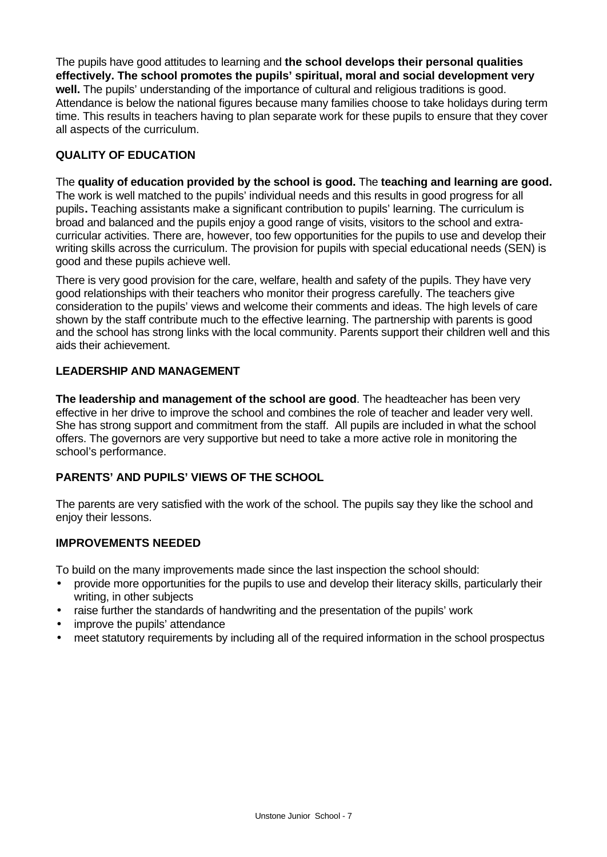The pupils have good attitudes to learning and **the school develops their personal qualities effectively. The school promotes the pupils' spiritual, moral and social development very well.** The pupils' understanding of the importance of cultural and religious traditions is good. Attendance is below the national figures because many families choose to take holidays during term time. This results in teachers having to plan separate work for these pupils to ensure that they cover all aspects of the curriculum.

# **QUALITY OF EDUCATION**

The **quality of education provided by the school is good.** The **teaching and learning are good.** The work is well matched to the pupils' individual needs and this results in good progress for all pupils**.** Teaching assistants make a significant contribution to pupils' learning. The curriculum is broad and balanced and the pupils enjoy a good range of visits, visitors to the school and extracurricular activities. There are, however, too few opportunities for the pupils to use and develop their writing skills across the curriculum. The provision for pupils with special educational needs (SEN) is good and these pupils achieve well.

There is very good provision for the care, welfare, health and safety of the pupils. They have very good relationships with their teachers who monitor their progress carefully. The teachers give consideration to the pupils' views and welcome their comments and ideas. The high levels of care shown by the staff contribute much to the effective learning. The partnership with parents is good and the school has strong links with the local community. Parents support their children well and this aids their achievement.

# **LEADERSHIP AND MANAGEMENT**

**The leadership and management of the school are good**. The headteacher has been very effective in her drive to improve the school and combines the role of teacher and leader very well. She has strong support and commitment from the staff. All pupils are included in what the school offers. The governors are very supportive but need to take a more active role in monitoring the school's performance.

# **PARENTS' AND PUPILS' VIEWS OF THE SCHOOL**

The parents are very satisfied with the work of the school. The pupils say they like the school and enjoy their lessons.

# **IMPROVEMENTS NEEDED**

To build on the many improvements made since the last inspection the school should:

- provide more opportunities for the pupils to use and develop their literacy skills, particularly their writing, in other subjects
- raise further the standards of handwriting and the presentation of the pupils' work
- improve the pupils' attendance
- meet statutory requirements by including all of the required information in the school prospectus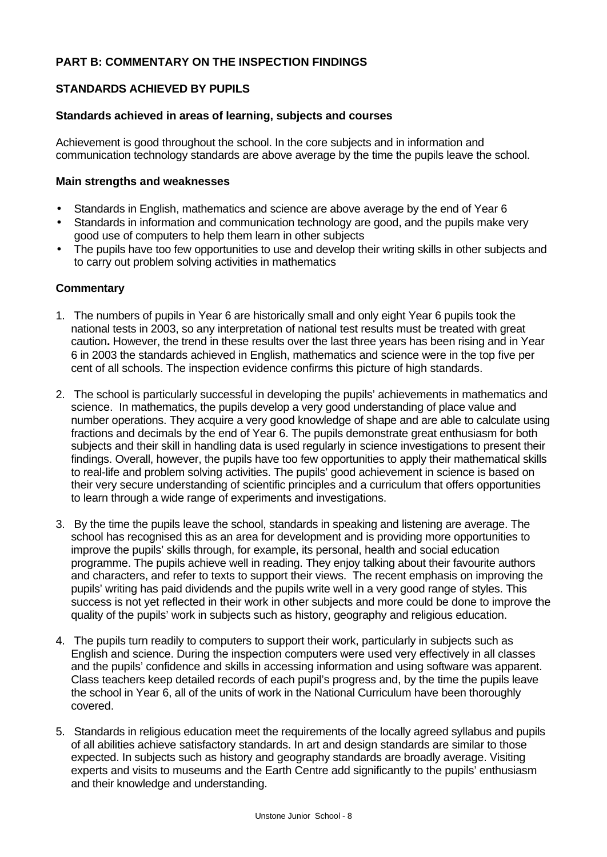### **PART B: COMMENTARY ON THE INSPECTION FINDINGS**

### **STANDARDS ACHIEVED BY PUPILS**

#### **Standards achieved in areas of learning, subjects and courses**

Achievement is good throughout the school. In the core subjects and in information and communication technology standards are above average by the time the pupils leave the school.

#### **Main strengths and weaknesses**

- Standards in English, mathematics and science are above average by the end of Year 6
- Standards in information and communication technology are good, and the pupils make very good use of computers to help them learn in other subjects
- The pupils have too few opportunities to use and develop their writing skills in other subjects and to carry out problem solving activities in mathematics

- 1. The numbers of pupils in Year 6 are historically small and only eight Year 6 pupils took the national tests in 2003, so any interpretation of national test results must be treated with great caution**.** However, the trend in these results over the last three years has been rising and in Year 6 in 2003 the standards achieved in English, mathematics and science were in the top five per cent of all schools. The inspection evidence confirms this picture of high standards.
- 2. The school is particularly successful in developing the pupils' achievements in mathematics and science. In mathematics, the pupils develop a very good understanding of place value and number operations. They acquire a very good knowledge of shape and are able to calculate using fractions and decimals by the end of Year 6. The pupils demonstrate great enthusiasm for both subjects and their skill in handling data is used regularly in science investigations to present their findings. Overall, however, the pupils have too few opportunities to apply their mathematical skills to real-life and problem solving activities. The pupils' good achievement in science is based on their very secure understanding of scientific principles and a curriculum that offers opportunities to learn through a wide range of experiments and investigations.
- 3. By the time the pupils leave the school, standards in speaking and listening are average. The school has recognised this as an area for development and is providing more opportunities to improve the pupils' skills through, for example, its personal, health and social education programme. The pupils achieve well in reading. They enjoy talking about their favourite authors and characters, and refer to texts to support their views. The recent emphasis on improving the pupils' writing has paid dividends and the pupils write well in a very good range of styles. This success is not yet reflected in their work in other subjects and more could be done to improve the quality of the pupils' work in subjects such as history, geography and religious education.
- 4. The pupils turn readily to computers to support their work, particularly in subjects such as English and science. During the inspection computers were used very effectively in all classes and the pupils' confidence and skills in accessing information and using software was apparent. Class teachers keep detailed records of each pupil's progress and, by the time the pupils leave the school in Year 6, all of the units of work in the National Curriculum have been thoroughly covered.
- 5. Standards in religious education meet the requirements of the locally agreed syllabus and pupils of all abilities achieve satisfactory standards. In art and design standards are similar to those expected. In subjects such as history and geography standards are broadly average. Visiting experts and visits to museums and the Earth Centre add significantly to the pupils' enthusiasm and their knowledge and understanding.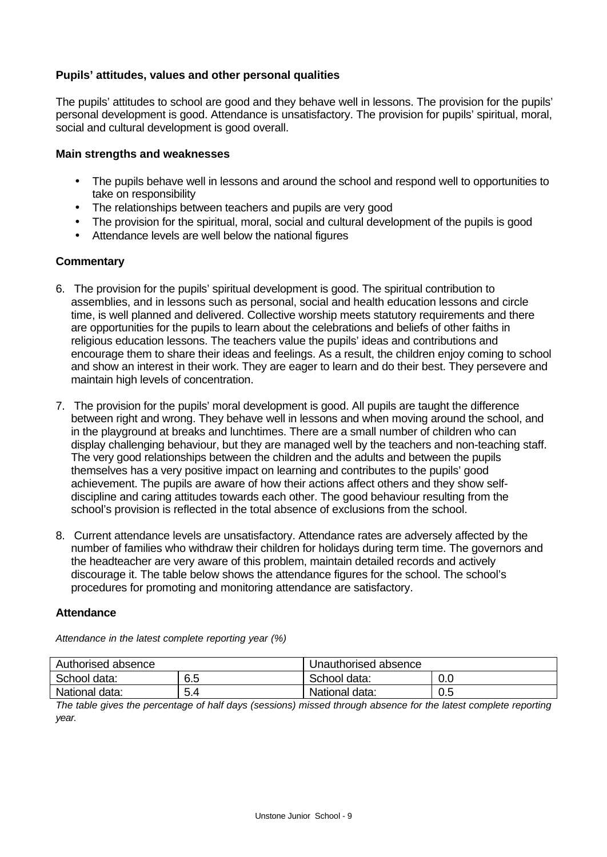### **Pupils' attitudes, values and other personal qualities**

The pupils' attitudes to school are good and they behave well in lessons. The provision for the pupils' personal development is good. Attendance is unsatisfactory. The provision for pupils' spiritual, moral, social and cultural development is good overall.

#### **Main strengths and weaknesses**

- The pupils behave well in lessons and around the school and respond well to opportunities to take on responsibility
- The relationships between teachers and pupils are very good
- The provision for the spiritual, moral, social and cultural development of the pupils is good
- Attendance levels are well below the national figures

### **Commentary**

- 6. The provision for the pupils' spiritual development is good. The spiritual contribution to assemblies, and in lessons such as personal, social and health education lessons and circle time, is well planned and delivered. Collective worship meets statutory requirements and there are opportunities for the pupils to learn about the celebrations and beliefs of other faiths in religious education lessons. The teachers value the pupils' ideas and contributions and encourage them to share their ideas and feelings. As a result, the children enjoy coming to school and show an interest in their work. They are eager to learn and do their best. They persevere and maintain high levels of concentration.
- 7. The provision for the pupils' moral development is good. All pupils are taught the difference between right and wrong. They behave well in lessons and when moving around the school, and in the playground at breaks and lunchtimes. There are a small number of children who can display challenging behaviour, but they are managed well by the teachers and non-teaching staff. The very good relationships between the children and the adults and between the pupils themselves has a very positive impact on learning and contributes to the pupils' good achievement. The pupils are aware of how their actions affect others and they show selfdiscipline and caring attitudes towards each other. The good behaviour resulting from the school's provision is reflected in the total absence of exclusions from the school.
- 8. Current attendance levels are unsatisfactory. Attendance rates are adversely affected by the number of families who withdraw their children for holidays during term time. The governors and the headteacher are very aware of this problem, maintain detailed records and actively discourage it. The table below shows the attendance figures for the school. The school's procedures for promoting and monitoring attendance are satisfactory.

#### **Attendance**

| Authorised absence |          | Unauthorised absence |     |  |
|--------------------|----------|----------------------|-----|--|
| School data:       | 6.5      | School data:         | 0.0 |  |
| National data:     | ς<br>5.4 | National data:       | 0.5 |  |

*Attendance in the latest complete reporting year (%)*

*The table gives the percentage of half days (sessions) missed through absence for the latest complete reporting year.*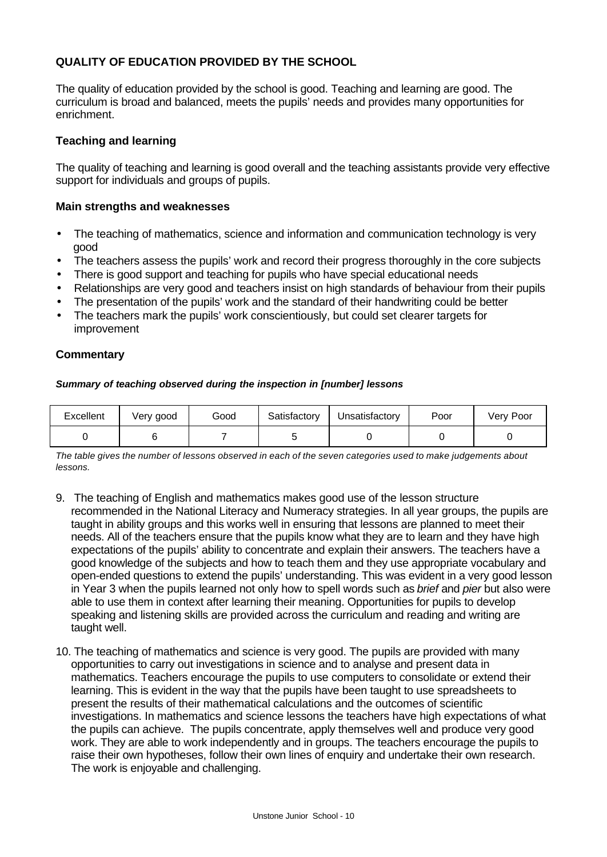## **QUALITY OF EDUCATION PROVIDED BY THE SCHOOL**

The quality of education provided by the school is good. Teaching and learning are good. The curriculum is broad and balanced, meets the pupils' needs and provides many opportunities for enrichment.

#### **Teaching and learning**

The quality of teaching and learning is good overall and the teaching assistants provide very effective support for individuals and groups of pupils.

#### **Main strengths and weaknesses**

- The teaching of mathematics, science and information and communication technology is very good
- The teachers assess the pupils' work and record their progress thoroughly in the core subjects
- There is good support and teaching for pupils who have special educational needs
- Relationships are very good and teachers insist on high standards of behaviour from their pupils
- The presentation of the pupils' work and the standard of their handwriting could be better
- The teachers mark the pupils' work conscientiously, but could set clearer targets for improvement

#### **Commentary**

#### *Summary of teaching observed during the inspection in [number] lessons*

| Excellent | Very good | Good | Satisfactory | Unsatisfactorv | Poor | Very Poor |
|-----------|-----------|------|--------------|----------------|------|-----------|
|           |           |      |              |                |      |           |

*The table gives the number of lessons observed in each of the seven categories used to make judgements about lessons.*

- 9. The teaching of English and mathematics makes good use of the lesson structure recommended in the National Literacy and Numeracy strategies. In all year groups, the pupils are taught in ability groups and this works well in ensuring that lessons are planned to meet their needs. All of the teachers ensure that the pupils know what they are to learn and they have high expectations of the pupils' ability to concentrate and explain their answers. The teachers have a good knowledge of the subjects and how to teach them and they use appropriate vocabulary and open-ended questions to extend the pupils' understanding. This was evident in a very good lesson in Year 3 when the pupils learned not only how to spell words such as *brief* and *pier* but also were able to use them in context after learning their meaning. Opportunities for pupils to develop speaking and listening skills are provided across the curriculum and reading and writing are taught well.
- 10. The teaching of mathematics and science is very good. The pupils are provided with many opportunities to carry out investigations in science and to analyse and present data in mathematics. Teachers encourage the pupils to use computers to consolidate or extend their learning. This is evident in the way that the pupils have been taught to use spreadsheets to present the results of their mathematical calculations and the outcomes of scientific investigations. In mathematics and science lessons the teachers have high expectations of what the pupils can achieve. The pupils concentrate, apply themselves well and produce very good work. They are able to work independently and in groups. The teachers encourage the pupils to raise their own hypotheses, follow their own lines of enquiry and undertake their own research. The work is enjoyable and challenging.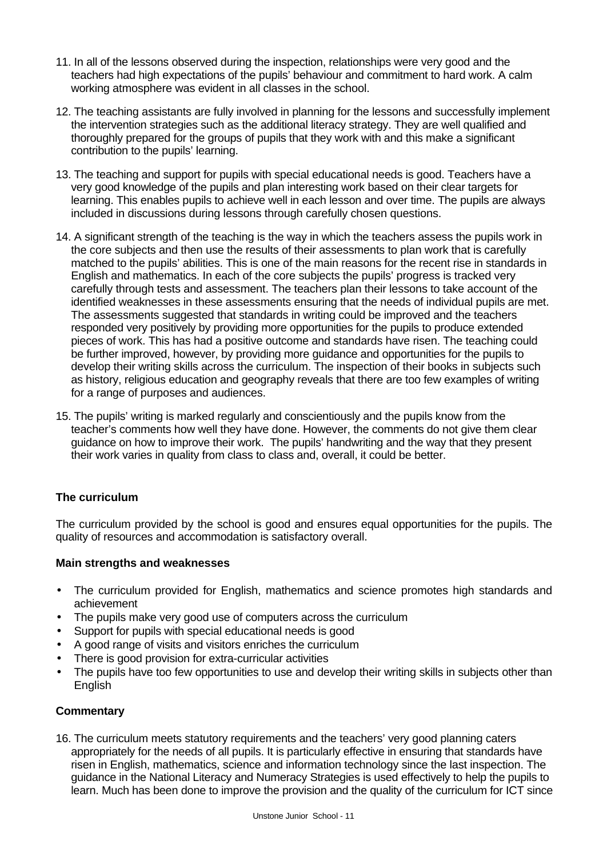- 11. In all of the lessons observed during the inspection, relationships were very good and the teachers had high expectations of the pupils' behaviour and commitment to hard work. A calm working atmosphere was evident in all classes in the school.
- 12. The teaching assistants are fully involved in planning for the lessons and successfully implement the intervention strategies such as the additional literacy strategy. They are well qualified and thoroughly prepared for the groups of pupils that they work with and this make a significant contribution to the pupils' learning.
- 13. The teaching and support for pupils with special educational needs is good. Teachers have a very good knowledge of the pupils and plan interesting work based on their clear targets for learning. This enables pupils to achieve well in each lesson and over time. The pupils are always included in discussions during lessons through carefully chosen questions.
- 14. A significant strength of the teaching is the way in which the teachers assess the pupils work in the core subjects and then use the results of their assessments to plan work that is carefully matched to the pupils' abilities. This is one of the main reasons for the recent rise in standards in English and mathematics. In each of the core subjects the pupils' progress is tracked very carefully through tests and assessment. The teachers plan their lessons to take account of the identified weaknesses in these assessments ensuring that the needs of individual pupils are met. The assessments suggested that standards in writing could be improved and the teachers responded very positively by providing more opportunities for the pupils to produce extended pieces of work. This has had a positive outcome and standards have risen. The teaching could be further improved, however, by providing more guidance and opportunities for the pupils to develop their writing skills across the curriculum. The inspection of their books in subjects such as history, religious education and geography reveals that there are too few examples of writing for a range of purposes and audiences.
- 15. The pupils' writing is marked regularly and conscientiously and the pupils know from the teacher's comments how well they have done. However, the comments do not give them clear guidance on how to improve their work. The pupils' handwriting and the way that they present their work varies in quality from class to class and, overall, it could be better.

# **The curriculum**

The curriculum provided by the school is good and ensures equal opportunities for the pupils. The quality of resources and accommodation is satisfactory overall.

### **Main strengths and weaknesses**

- The curriculum provided for English, mathematics and science promotes high standards and achievement
- The pupils make very good use of computers across the curriculum
- Support for pupils with special educational needs is good
- A good range of visits and visitors enriches the curriculum
- There is good provision for extra-curricular activities
- The pupils have too few opportunities to use and develop their writing skills in subjects other than English

# **Commentary**

16. The curriculum meets statutory requirements and the teachers' very good planning caters appropriately for the needs of all pupils. It is particularly effective in ensuring that standards have risen in English, mathematics, science and information technology since the last inspection. The guidance in the National Literacy and Numeracy Strategies is used effectively to help the pupils to learn. Much has been done to improve the provision and the quality of the curriculum for ICT since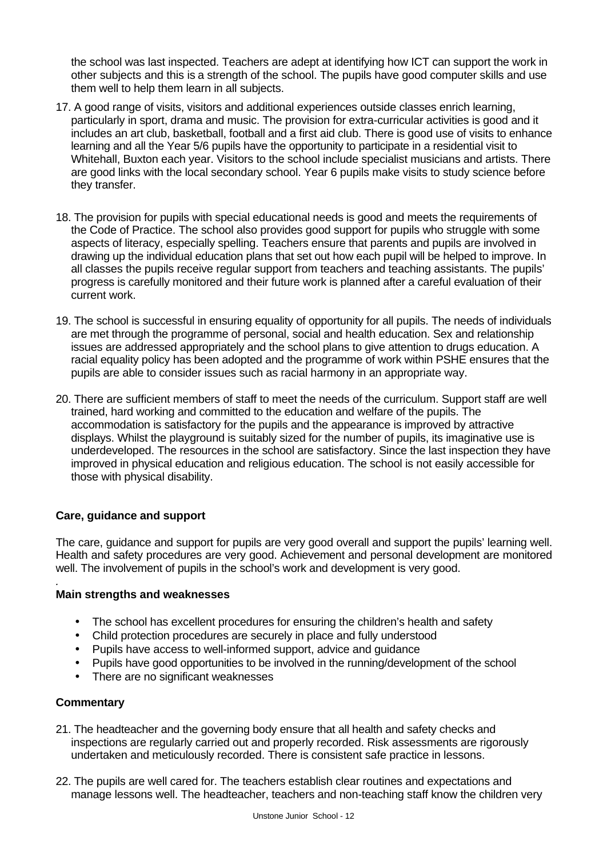the school was last inspected. Teachers are adept at identifying how ICT can support the work in other subjects and this is a strength of the school. The pupils have good computer skills and use them well to help them learn in all subjects.

- 17. A good range of visits, visitors and additional experiences outside classes enrich learning, particularly in sport, drama and music. The provision for extra-curricular activities is good and it includes an art club, basketball, football and a first aid club. There is good use of visits to enhance learning and all the Year 5/6 pupils have the opportunity to participate in a residential visit to Whitehall, Buxton each year. Visitors to the school include specialist musicians and artists. There are good links with the local secondary school. Year 6 pupils make visits to study science before they transfer.
- 18. The provision for pupils with special educational needs is good and meets the requirements of the Code of Practice. The school also provides good support for pupils who struggle with some aspects of literacy, especially spelling. Teachers ensure that parents and pupils are involved in drawing up the individual education plans that set out how each pupil will be helped to improve. In all classes the pupils receive regular support from teachers and teaching assistants. The pupils' progress is carefully monitored and their future work is planned after a careful evaluation of their current work.
- 19. The school is successful in ensuring equality of opportunity for all pupils. The needs of individuals are met through the programme of personal, social and health education. Sex and relationship issues are addressed appropriately and the school plans to give attention to drugs education. A racial equality policy has been adopted and the programme of work within PSHE ensures that the pupils are able to consider issues such as racial harmony in an appropriate way.
- 20. There are sufficient members of staff to meet the needs of the curriculum. Support staff are well trained, hard working and committed to the education and welfare of the pupils. The accommodation is satisfactory for the pupils and the appearance is improved by attractive displays. Whilst the playground is suitably sized for the number of pupils, its imaginative use is underdeveloped. The resources in the school are satisfactory. Since the last inspection they have improved in physical education and religious education. The school is not easily accessible for those with physical disability.

# **Care, guidance and support**

The care, guidance and support for pupils are very good overall and support the pupils' learning well. Health and safety procedures are very good. Achievement and personal development are monitored well. The involvement of pupils in the school's work and development is very good.

### **Main strengths and weaknesses**

- The school has excellent procedures for ensuring the children's health and safety
- Child protection procedures are securely in place and fully understood
- Pupils have access to well-informed support, advice and guidance
- Pupils have good opportunities to be involved in the running/development of the school
- There are no significant weaknesses

### **Commentary**

*.*

- 21. The headteacher and the governing body ensure that all health and safety checks and inspections are regularly carried out and properly recorded. Risk assessments are rigorously undertaken and meticulously recorded. There is consistent safe practice in lessons.
- 22. The pupils are well cared for. The teachers establish clear routines and expectations and manage lessons well. The headteacher, teachers and non-teaching staff know the children very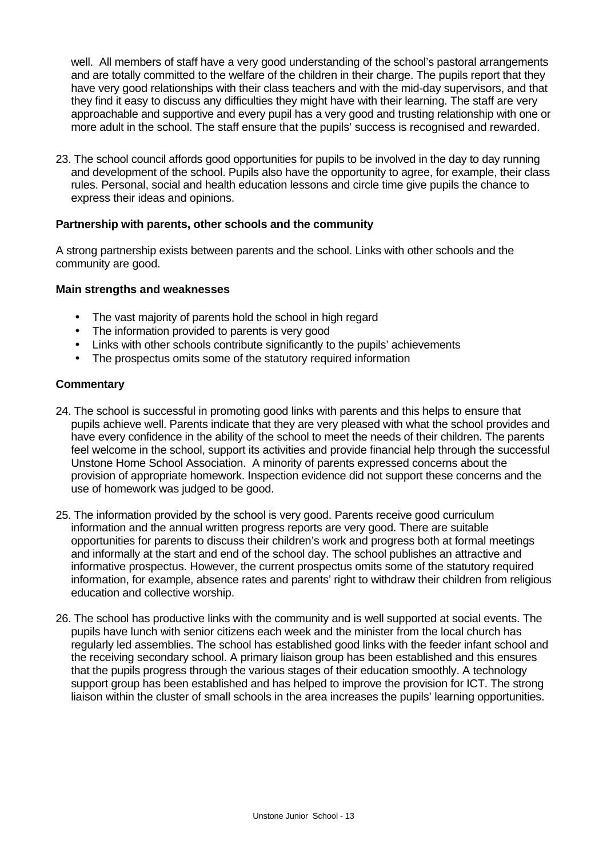well. All members of staff have a very good understanding of the school's pastoral arrangements and are totally committed to the welfare of the children in their charge. The pupils report that they have very good relationships with their class teachers and with the mid-day supervisors, and that they find it easy to discuss any difficulties they might have with their learning. The staff are very approachable and supportive and every pupil has a very good and trusting relationship with one or more adult in the school. The staff ensure that the pupils' success is recognised and rewarded.

23. The school council affords good opportunities for pupils to be involved in the day to day running and development of the school. Pupils also have the opportunity to agree, for example, their class rules. Personal, social and health education lessons and circle time give pupils the chance to express their ideas and opinions.

### **Partnership with parents, other schools and the community**

A strong partnership exists between parents and the school. Links with other schools and the community are good.

#### **Main strengths and weaknesses**

- The vast majority of parents hold the school in high regard
- The information provided to parents is very good
- Links with other schools contribute significantly to the pupils' achievements
- The prospectus omits some of the statutory required information

- 24. The school is successful in promoting good links with parents and this helps to ensure that pupils achieve well. Parents indicate that they are very pleased with what the school provides and have every confidence in the ability of the school to meet the needs of their children. The parents feel welcome in the school, support its activities and provide financial help through the successful Unstone Home School Association. A minority of parents expressed concerns about the provision of appropriate homework. Inspection evidence did not support these concerns and the use of homework was judged to be good.
- 25. The information provided by the school is very good. Parents receive good curriculum information and the annual written progress reports are very good. There are suitable opportunities for parents to discuss their children's work and progress both at formal meetings and informally at the start and end of the school day. The school publishes an attractive and informative prospectus. However, the current prospectus omits some of the statutory required information, for example, absence rates and parents' right to withdraw their children from religious education and collective worship.
- 26. The school has productive links with the community and is well supported at social events. The pupils have lunch with senior citizens each week and the minister from the local church has regularly led assemblies. The school has established good links with the feeder infant school and the receiving secondary school. A primary liaison group has been established and this ensures that the pupils progress through the various stages of their education smoothly. A technology support group has been established and has helped to improve the provision for ICT. The strong liaison within the cluster of small schools in the area increases the pupils' learning opportunities.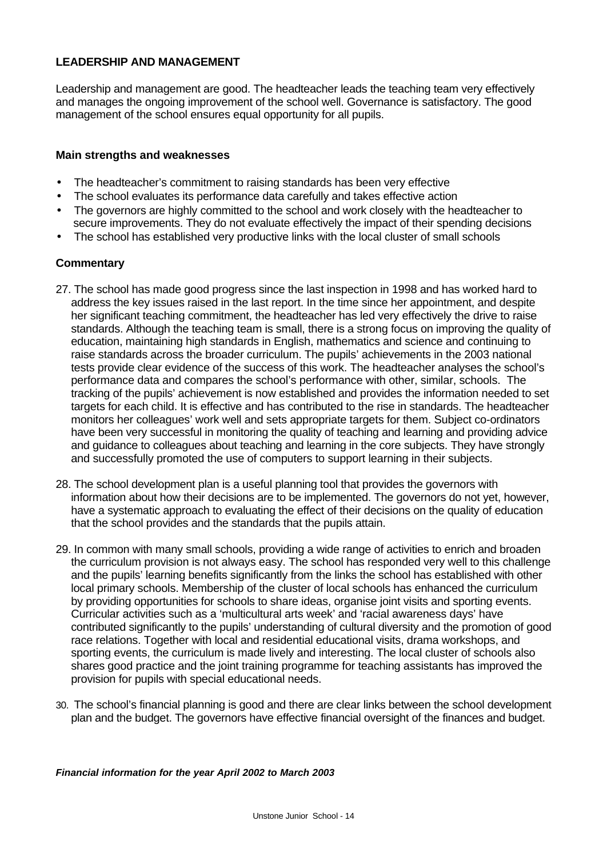### **LEADERSHIP AND MANAGEMENT**

Leadership and management are good. The headteacher leads the teaching team very effectively and manages the ongoing improvement of the school well. Governance is satisfactory. The good management of the school ensures equal opportunity for all pupils.

### **Main strengths and weaknesses**

- The headteacher's commitment to raising standards has been very effective
- The school evaluates its performance data carefully and takes effective action
- The governors are highly committed to the school and work closely with the headteacher to secure improvements. They do not evaluate effectively the impact of their spending decisions
- The school has established very productive links with the local cluster of small schools

#### **Commentary**

- 27. The school has made good progress since the last inspection in 1998 and has worked hard to address the key issues raised in the last report. In the time since her appointment, and despite her significant teaching commitment, the headteacher has led very effectively the drive to raise standards. Although the teaching team is small, there is a strong focus on improving the quality of education, maintaining high standards in English, mathematics and science and continuing to raise standards across the broader curriculum. The pupils' achievements in the 2003 national tests provide clear evidence of the success of this work. The headteacher analyses the school's performance data and compares the school's performance with other, similar, schools. The tracking of the pupils' achievement is now established and provides the information needed to set targets for each child. It is effective and has contributed to the rise in standards. The headteacher monitors her colleagues' work well and sets appropriate targets for them. Subject co-ordinators have been very successful in monitoring the quality of teaching and learning and providing advice and guidance to colleagues about teaching and learning in the core subjects. They have strongly and successfully promoted the use of computers to support learning in their subjects.
- 28. The school development plan is a useful planning tool that provides the governors with information about how their decisions are to be implemented. The governors do not yet, however, have a systematic approach to evaluating the effect of their decisions on the quality of education that the school provides and the standards that the pupils attain.
- 29. In common with many small schools, providing a wide range of activities to enrich and broaden the curriculum provision is not always easy. The school has responded very well to this challenge and the pupils' learning benefits significantly from the links the school has established with other local primary schools. Membership of the cluster of local schools has enhanced the curriculum by providing opportunities for schools to share ideas, organise joint visits and sporting events. Curricular activities such as a 'multicultural arts week' and 'racial awareness days' have contributed significantly to the pupils' understanding of cultural diversity and the promotion of good race relations. Together with local and residential educational visits, drama workshops, and sporting events, the curriculum is made lively and interesting. The local cluster of schools also shares good practice and the joint training programme for teaching assistants has improved the provision for pupils with special educational needs.
- 30. The school's financial planning is good and there are clear links between the school development plan and the budget. The governors have effective financial oversight of the finances and budget.

*Financial information for the year April 2002 to March 2003*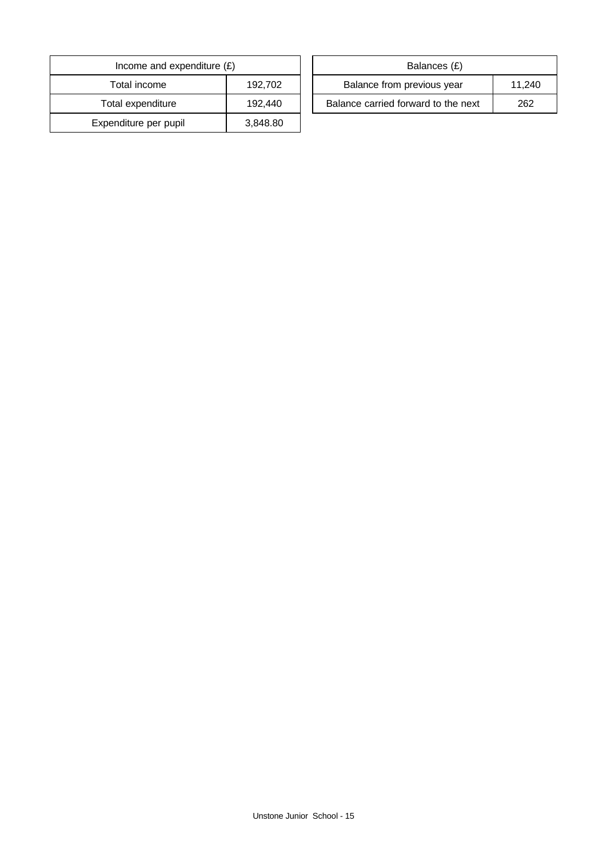| Income and expenditure $(E)$ |          | Balances (£)                     |
|------------------------------|----------|----------------------------------|
| Total income                 | 192,702  | Balance from previous year       |
| Total expenditure            | 192.440  | Balance carried forward to the i |
| Expenditure per pupil        | 3,848.80 |                                  |

| Income and expenditure $(E)$ |         | Balances (£)                        |        |
|------------------------------|---------|-------------------------------------|--------|
| Total income                 | 192.702 | Balance from previous year          | 11.240 |
| Total expenditure            | 192.440 | Balance carried forward to the next | 262    |
|                              |         |                                     |        |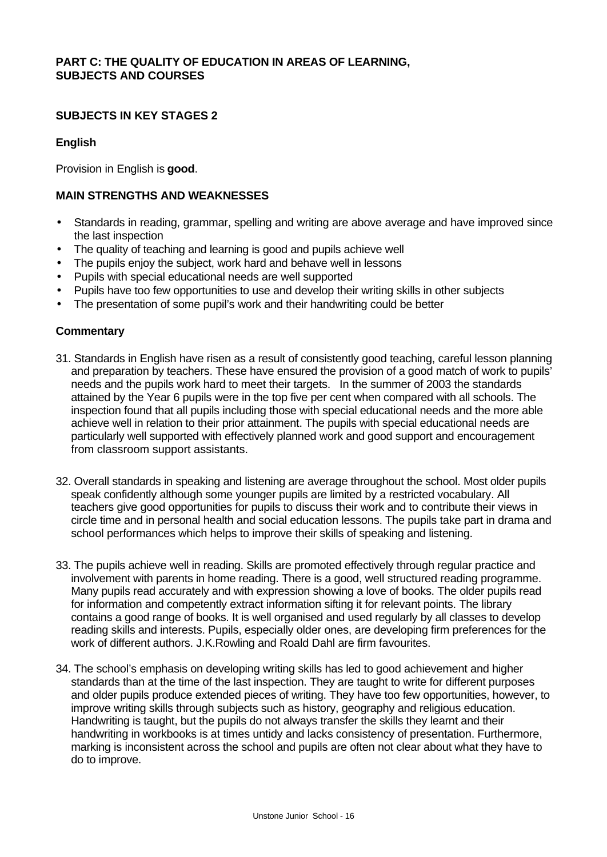### **PART C: THE QUALITY OF EDUCATION IN AREAS OF LEARNING, SUBJECTS AND COURSES**

### **SUBJECTS IN KEY STAGES 2**

### **English**

Provision in English is **good**.

### **MAIN STRENGTHS AND WEAKNESSES**

- Standards in reading, grammar, spelling and writing are above average and have improved since the last inspection
- The quality of teaching and learning is good and pupils achieve well
- The pupils enjoy the subject, work hard and behave well in lessons
- Pupils with special educational needs are well supported
- Pupils have too few opportunities to use and develop their writing skills in other subjects
- The presentation of some pupil's work and their handwriting could be better

- 31. Standards in English have risen as a result of consistently good teaching, careful lesson planning and preparation by teachers. These have ensured the provision of a good match of work to pupils' needs and the pupils work hard to meet their targets. In the summer of 2003 the standards attained by the Year 6 pupils were in the top five per cent when compared with all schools. The inspection found that all pupils including those with special educational needs and the more able achieve well in relation to their prior attainment. The pupils with special educational needs are particularly well supported with effectively planned work and good support and encouragement from classroom support assistants.
- 32. Overall standards in speaking and listening are average throughout the school. Most older pupils speak confidently although some younger pupils are limited by a restricted vocabulary. All teachers give good opportunities for pupils to discuss their work and to contribute their views in circle time and in personal health and social education lessons. The pupils take part in drama and school performances which helps to improve their skills of speaking and listening.
- 33. The pupils achieve well in reading. Skills are promoted effectively through regular practice and involvement with parents in home reading. There is a good, well structured reading programme. Many pupils read accurately and with expression showing a love of books. The older pupils read for information and competently extract information sifting it for relevant points. The library contains a good range of books. It is well organised and used regularly by all classes to develop reading skills and interests. Pupils, especially older ones, are developing firm preferences for the work of different authors. J.K.Rowling and Roald Dahl are firm favourites.
- 34. The school's emphasis on developing writing skills has led to good achievement and higher standards than at the time of the last inspection. They are taught to write for different purposes and older pupils produce extended pieces of writing. They have too few opportunities, however, to improve writing skills through subjects such as history, geography and religious education. Handwriting is taught, but the pupils do not always transfer the skills they learnt and their handwriting in workbooks is at times untidy and lacks consistency of presentation. Furthermore, marking is inconsistent across the school and pupils are often not clear about what they have to do to improve.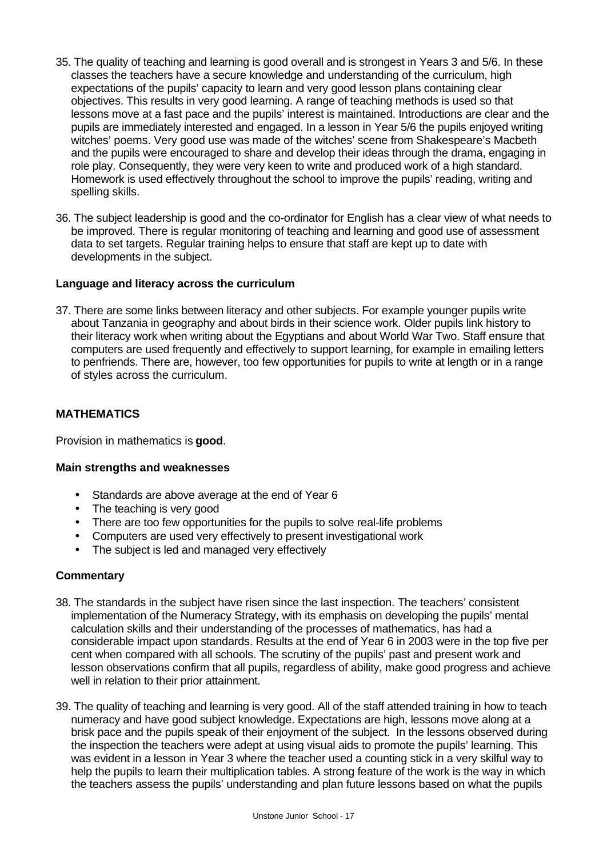- 35. The quality of teaching and learning is good overall and is strongest in Years 3 and 5/6. In these classes the teachers have a secure knowledge and understanding of the curriculum, high expectations of the pupils' capacity to learn and very good lesson plans containing clear objectives. This results in very good learning. A range of teaching methods is used so that lessons move at a fast pace and the pupils' interest is maintained. Introductions are clear and the pupils are immediately interested and engaged. In a lesson in Year 5/6 the pupils enjoyed writing witches' poems. Very good use was made of the witches' scene from Shakespeare's Macbeth and the pupils were encouraged to share and develop their ideas through the drama, engaging in role play. Consequently, they were very keen to write and produced work of a high standard. Homework is used effectively throughout the school to improve the pupils' reading, writing and spelling skills.
- 36. The subject leadership is good and the co-ordinator for English has a clear view of what needs to be improved. There is regular monitoring of teaching and learning and good use of assessment data to set targets. Regular training helps to ensure that staff are kept up to date with developments in the subject.

### **Language and literacy across the curriculum**

37. There are some links between literacy and other subjects. For example younger pupils write about Tanzania in geography and about birds in their science work. Older pupils link history to their literacy work when writing about the Egyptians and about World War Two. Staff ensure that computers are used frequently and effectively to support learning, for example in emailing letters to penfriends. There are, however, too few opportunities for pupils to write at length or in a range of styles across the curriculum.

# **MATHEMATICS**

Provision in mathematics is **good**.

### **Main strengths and weaknesses**

- Standards are above average at the end of Year 6
- The teaching is very good
- There are too few opportunities for the pupils to solve real-life problems
- Computers are used very effectively to present investigational work
- The subject is led and managed very effectively

- 38. The standards in the subject have risen since the last inspection. The teachers' consistent implementation of the Numeracy Strategy, with its emphasis on developing the pupils' mental calculation skills and their understanding of the processes of mathematics, has had a considerable impact upon standards. Results at the end of Year 6 in 2003 were in the top five per cent when compared with all schools. The scrutiny of the pupils' past and present work and lesson observations confirm that all pupils, regardless of ability, make good progress and achieve well in relation to their prior attainment.
- 39. The quality of teaching and learning is very good. All of the staff attended training in how to teach numeracy and have good subject knowledge. Expectations are high, lessons move along at a brisk pace and the pupils speak of their enjoyment of the subject. In the lessons observed during the inspection the teachers were adept at using visual aids to promote the pupils' learning. This was evident in a lesson in Year 3 where the teacher used a counting stick in a very skilful way to help the pupils to learn their multiplication tables. A strong feature of the work is the way in which the teachers assess the pupils' understanding and plan future lessons based on what the pupils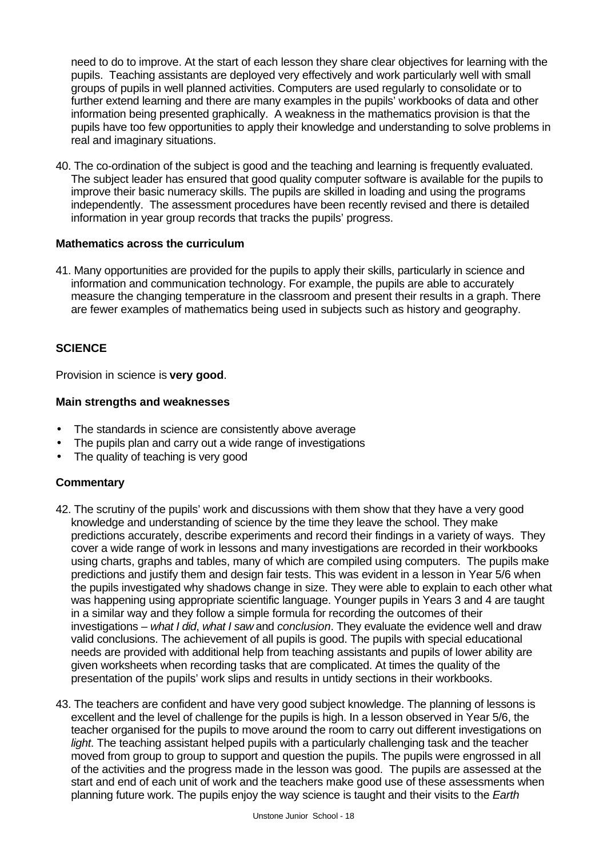need to do to improve. At the start of each lesson they share clear objectives for learning with the pupils. Teaching assistants are deployed very effectively and work particularly well with small groups of pupils in well planned activities. Computers are used regularly to consolidate or to further extend learning and there are many examples in the pupils' workbooks of data and other information being presented graphically. A weakness in the mathematics provision is that the pupils have too few opportunities to apply their knowledge and understanding to solve problems in real and imaginary situations.

40. The co-ordination of the subject is good and the teaching and learning is frequently evaluated. The subject leader has ensured that good quality computer software is available for the pupils to improve their basic numeracy skills. The pupils are skilled in loading and using the programs independently. The assessment procedures have been recently revised and there is detailed information in year group records that tracks the pupils' progress.

#### **Mathematics across the curriculum**

41. Many opportunities are provided for the pupils to apply their skills, particularly in science and information and communication technology. For example, the pupils are able to accurately measure the changing temperature in the classroom and present their results in a graph. There are fewer examples of mathematics being used in subjects such as history and geography.

### **SCIENCE**

Provision in science is **very good**.

#### **Main strengths and weaknesses**

- The standards in science are consistently above average
- The pupils plan and carry out a wide range of investigations
- The quality of teaching is very good

- 42. The scrutiny of the pupils' work and discussions with them show that they have a very good knowledge and understanding of science by the time they leave the school. They make predictions accurately, describe experiments and record their findings in a variety of ways. They cover a wide range of work in lessons and many investigations are recorded in their workbooks using charts, graphs and tables, many of which are compiled using computers. The pupils make predictions and justify them and design fair tests. This was evident in a lesson in Year 5/6 when the pupils investigated why shadows change in size. They were able to explain to each other what was happening using appropriate scientific language. Younger pupils in Years 3 and 4 are taught in a similar way and they follow a simple formula for recording the outcomes of their investigations – *what I did*, *what I saw* and *conclusion*. They evaluate the evidence well and draw valid conclusions. The achievement of all pupils is good. The pupils with special educational needs are provided with additional help from teaching assistants and pupils of lower ability are given worksheets when recording tasks that are complicated. At times the quality of the presentation of the pupils' work slips and results in untidy sections in their workbooks.
- 43. The teachers are confident and have very good subject knowledge. The planning of lessons is excellent and the level of challenge for the pupils is high. In a lesson observed in Year 5/6, the teacher organised for the pupils to move around the room to carry out different investigations on *light*. The teaching assistant helped pupils with a particularly challenging task and the teacher moved from group to group to support and question the pupils. The pupils were engrossed in all of the activities and the progress made in the lesson was good. The pupils are assessed at the start and end of each unit of work and the teachers make good use of these assessments when planning future work. The pupils enjoy the way science is taught and their visits to the *Earth*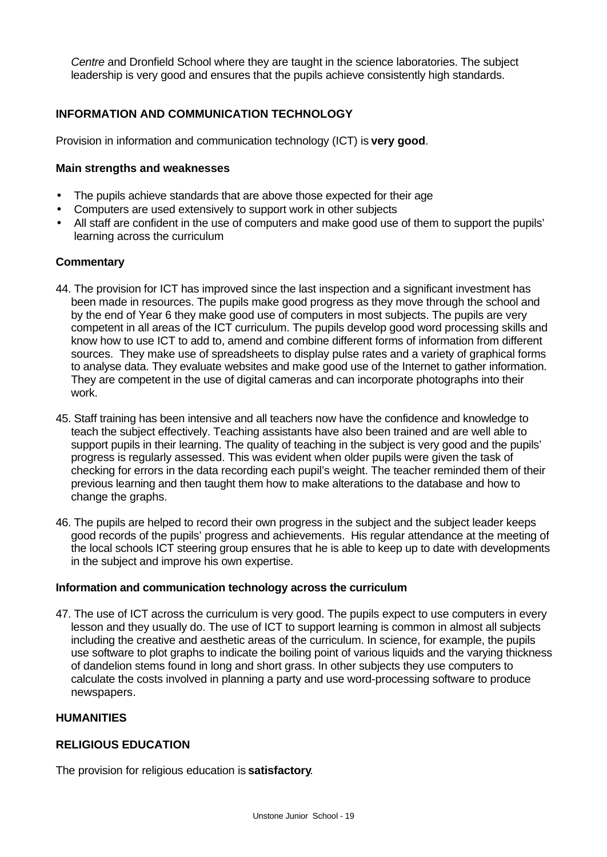*Centre* and Dronfield School where they are taught in the science laboratories. The subject leadership is very good and ensures that the pupils achieve consistently high standards.

### **INFORMATION AND COMMUNICATION TECHNOLOGY**

Provision in information and communication technology (ICT) is **very good**.

#### **Main strengths and weaknesses**

- The pupils achieve standards that are above those expected for their age
- Computers are used extensively to support work in other subjects
- All staff are confident in the use of computers and make good use of them to support the pupils' learning across the curriculum

#### **Commentary**

- 44. The provision for ICT has improved since the last inspection and a significant investment has been made in resources. The pupils make good progress as they move through the school and by the end of Year 6 they make good use of computers in most subjects. The pupils are very competent in all areas of the ICT curriculum. The pupils develop good word processing skills and know how to use ICT to add to, amend and combine different forms of information from different sources. They make use of spreadsheets to display pulse rates and a variety of graphical forms to analyse data. They evaluate websites and make good use of the Internet to gather information. They are competent in the use of digital cameras and can incorporate photographs into their work.
- 45. Staff training has been intensive and all teachers now have the confidence and knowledge to teach the subject effectively. Teaching assistants have also been trained and are well able to support pupils in their learning. The quality of teaching in the subject is very good and the pupils' progress is regularly assessed. This was evident when older pupils were given the task of checking for errors in the data recording each pupil's weight. The teacher reminded them of their previous learning and then taught them how to make alterations to the database and how to change the graphs.
- 46. The pupils are helped to record their own progress in the subject and the subject leader keeps good records of the pupils' progress and achievements. His regular attendance at the meeting of the local schools ICT steering group ensures that he is able to keep up to date with developments in the subject and improve his own expertise.

#### **Information and communication technology across the curriculum**

47. The use of ICT across the curriculum is very good. The pupils expect to use computers in every lesson and they usually do. The use of ICT to support learning is common in almost all subjects including the creative and aesthetic areas of the curriculum. In science, for example, the pupils use software to plot graphs to indicate the boiling point of various liquids and the varying thickness of dandelion stems found in long and short grass. In other subjects they use computers to calculate the costs involved in planning a party and use word-processing software to produce newspapers.

### **HUMANITIES**

### **RELIGIOUS EDUCATION**

The provision for religious education is **satisfactory**.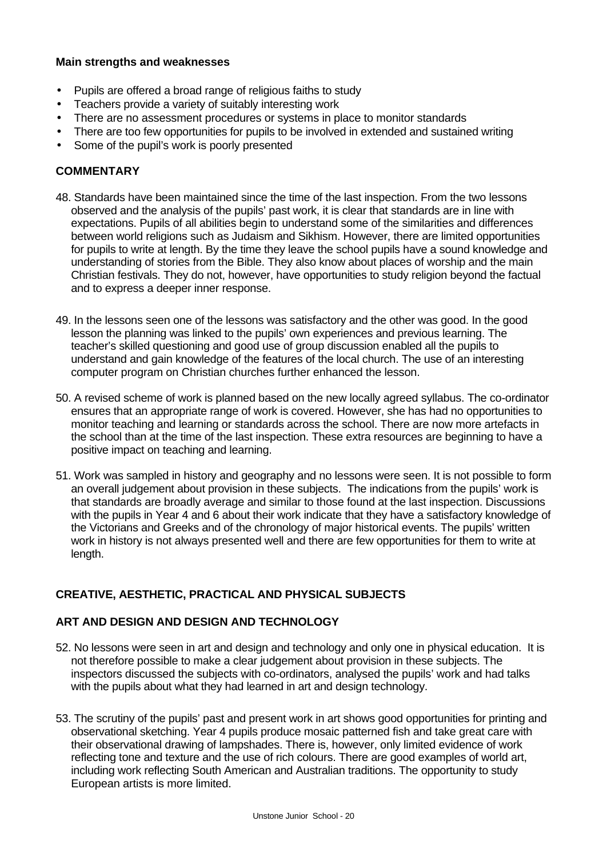### **Main strengths and weaknesses**

- Pupils are offered a broad range of religious faiths to study
- Teachers provide a variety of suitably interesting work
- There are no assessment procedures or systems in place to monitor standards
- There are too few opportunities for pupils to be involved in extended and sustained writing
- Some of the pupil's work is poorly presented

# **COMMENTARY**

- 48. Standards have been maintained since the time of the last inspection. From the two lessons observed and the analysis of the pupils' past work, it is clear that standards are in line with expectations. Pupils of all abilities begin to understand some of the similarities and differences between world religions such as Judaism and Sikhism. However, there are limited opportunities for pupils to write at length. By the time they leave the school pupils have a sound knowledge and understanding of stories from the Bible. They also know about places of worship and the main Christian festivals. They do not, however, have opportunities to study religion beyond the factual and to express a deeper inner response.
- 49. In the lessons seen one of the lessons was satisfactory and the other was good. In the good lesson the planning was linked to the pupils' own experiences and previous learning. The teacher's skilled questioning and good use of group discussion enabled all the pupils to understand and gain knowledge of the features of the local church. The use of an interesting computer program on Christian churches further enhanced the lesson.
- 50. A revised scheme of work is planned based on the new locally agreed syllabus. The co-ordinator ensures that an appropriate range of work is covered. However, she has had no opportunities to monitor teaching and learning or standards across the school. There are now more artefacts in the school than at the time of the last inspection. These extra resources are beginning to have a positive impact on teaching and learning.
- 51. Work was sampled in history and geography and no lessons were seen. It is not possible to form an overall judgement about provision in these subjects. The indications from the pupils' work is that standards are broadly average and similar to those found at the last inspection. Discussions with the pupils in Year 4 and 6 about their work indicate that they have a satisfactory knowledge of the Victorians and Greeks and of the chronology of major historical events. The pupils' written work in history is not always presented well and there are few opportunities for them to write at length.

# **CREATIVE, AESTHETIC, PRACTICAL AND PHYSICAL SUBJECTS**

# **ART AND DESIGN AND DESIGN AND TECHNOLOGY**

- 52. No lessons were seen in art and design and technology and only one in physical education. It is not therefore possible to make a clear judgement about provision in these subjects. The inspectors discussed the subjects with co-ordinators, analysed the pupils' work and had talks with the pupils about what they had learned in art and design technology.
- 53. The scrutiny of the pupils' past and present work in art shows good opportunities for printing and observational sketching. Year 4 pupils produce mosaic patterned fish and take great care with their observational drawing of lampshades. There is, however, only limited evidence of work reflecting tone and texture and the use of rich colours. There are good examples of world art, including work reflecting South American and Australian traditions. The opportunity to study European artists is more limited.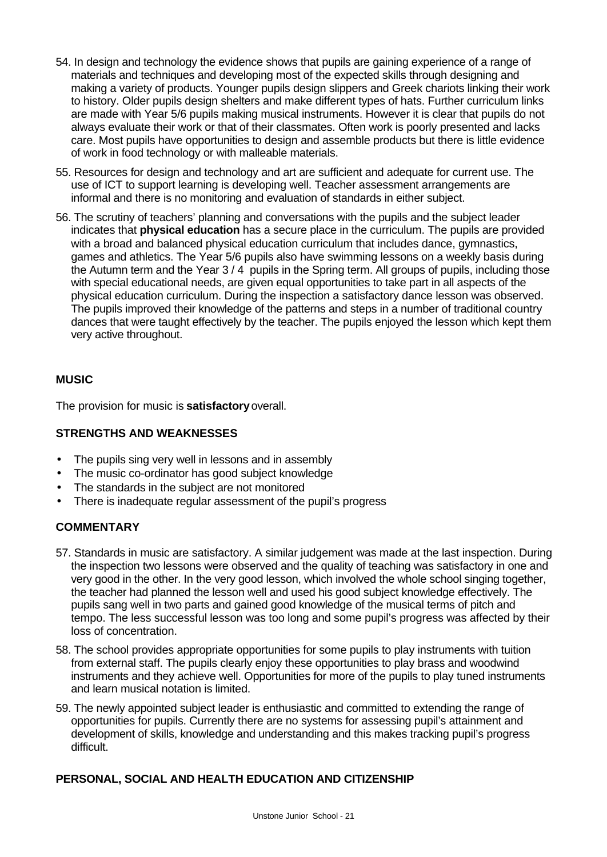- 54. In design and technology the evidence shows that pupils are gaining experience of a range of materials and techniques and developing most of the expected skills through designing and making a variety of products. Younger pupils design slippers and Greek chariots linking their work to history. Older pupils design shelters and make different types of hats. Further curriculum links are made with Year 5/6 pupils making musical instruments. However it is clear that pupils do not always evaluate their work or that of their classmates. Often work is poorly presented and lacks care. Most pupils have opportunities to design and assemble products but there is little evidence of work in food technology or with malleable materials.
- 55. Resources for design and technology and art are sufficient and adequate for current use. The use of ICT to support learning is developing well. Teacher assessment arrangements are informal and there is no monitoring and evaluation of standards in either subject.
- 56. The scrutiny of teachers' planning and conversations with the pupils and the subject leader indicates that **physical education** has a secure place in the curriculum. The pupils are provided with a broad and balanced physical education curriculum that includes dance, gymnastics, games and athletics. The Year 5/6 pupils also have swimming lessons on a weekly basis during the Autumn term and the Year 3 / 4 pupils in the Spring term. All groups of pupils, including those with special educational needs, are given equal opportunities to take part in all aspects of the physical education curriculum. During the inspection a satisfactory dance lesson was observed. The pupils improved their knowledge of the patterns and steps in a number of traditional country dances that were taught effectively by the teacher. The pupils enjoyed the lesson which kept them very active throughout.

# **MUSIC**

The provision for music is **satisfactory** overall.

### **STRENGTHS AND WEAKNESSES**

- The pupils sing very well in lessons and in assembly
- The music co-ordinator has good subject knowledge
- The standards in the subject are not monitored
- There is inadequate regular assessment of the pupil's progress

# **COMMENTARY**

- 57. Standards in music are satisfactory. A similar judgement was made at the last inspection. During the inspection two lessons were observed and the quality of teaching was satisfactory in one and very good in the other. In the very good lesson, which involved the whole school singing together, the teacher had planned the lesson well and used his good subject knowledge effectively. The pupils sang well in two parts and gained good knowledge of the musical terms of pitch and tempo. The less successful lesson was too long and some pupil's progress was affected by their loss of concentration.
- 58. The school provides appropriate opportunities for some pupils to play instruments with tuition from external staff. The pupils clearly enjoy these opportunities to play brass and woodwind instruments and they achieve well. Opportunities for more of the pupils to play tuned instruments and learn musical notation is limited.
- 59. The newly appointed subject leader is enthusiastic and committed to extending the range of opportunities for pupils. Currently there are no systems for assessing pupil's attainment and development of skills, knowledge and understanding and this makes tracking pupil's progress difficult.

# **PERSONAL, SOCIAL AND HEALTH EDUCATION AND CITIZENSHIP**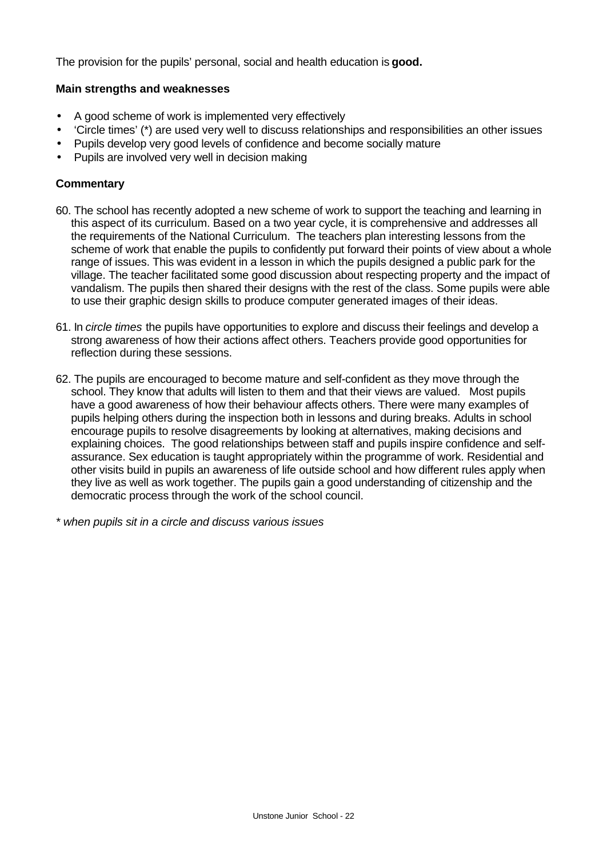The provision for the pupils' personal, social and health education is **good.**

### **Main strengths and weaknesses**

- A good scheme of work is implemented very effectively
- 'Circle times' (\*) are used very well to discuss relationships and responsibilities an other issues
- Pupils develop very good levels of confidence and become socially mature
- Pupils are involved very well in decision making

### **Commentary**

- 60. The school has recently adopted a new scheme of work to support the teaching and learning in this aspect of its curriculum. Based on a two year cycle, it is comprehensive and addresses all the requirements of the National Curriculum. The teachers plan interesting lessons from the scheme of work that enable the pupils to confidently put forward their points of view about a whole range of issues. This was evident in a lesson in which the pupils designed a public park for the village. The teacher facilitated some good discussion about respecting property and the impact of vandalism. The pupils then shared their designs with the rest of the class. Some pupils were able to use their graphic design skills to produce computer generated images of their ideas.
- 61. In *circle times* the pupils have opportunities to explore and discuss their feelings and develop a strong awareness of how their actions affect others. Teachers provide good opportunities for reflection during these sessions.
- 62. The pupils are encouraged to become mature and self-confident as they move through the school. They know that adults will listen to them and that their views are valued. Most pupils have a good awareness of how their behaviour affects others. There were many examples of pupils helping others during the inspection both in lessons and during breaks. Adults in school encourage pupils to resolve disagreements by looking at alternatives, making decisions and explaining choices. The good relationships between staff and pupils inspire confidence and selfassurance. Sex education is taught appropriately within the programme of work. Residential and other visits build in pupils an awareness of life outside school and how different rules apply when they live as well as work together. The pupils gain a good understanding of citizenship and the democratic process through the work of the school council.

*\* when pupils sit in a circle and discuss various issues*